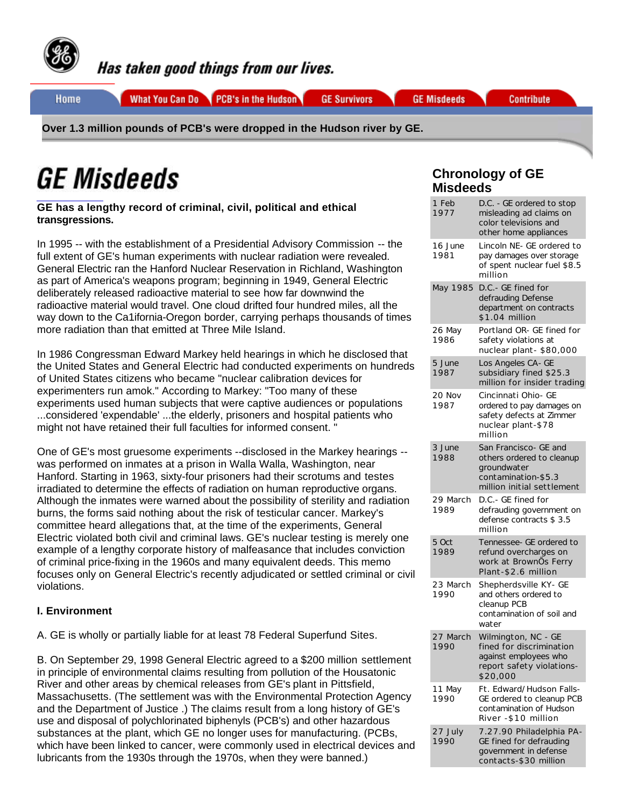

Has taken good things from our lives.

Home

What You Can Do PCB's in the Hudson

**GE Survivors** 

**GE Misdeeds** 

**Contribute** 

**Over 1.3 million pounds of PCB's were dropped in the Hudson river by GE.**

# *GE Misdeeds*

**GE has a lengthy record of criminal, civil, political and ethical transgressions.**

In 1995 -- with the establishment of a Presidential Advisory Commission -- the full extent of GE's human experiments with nuclear radiation were revealed. General Electric ran the Hanford Nuclear Reservation in Richland, Washington as part of America's weapons program; beginning in 1949, General Electric deliberately released radioactive material to see how far downwind the radioactive material would travel. One cloud drifted four hundred miles, all the way down to the Ca1ifornia-Oregon border, carrying perhaps thousands of times more radiation than that emitted at Three Mile Island.

In 1986 Congressman Edward Markey held hearings in which he disclosed that the United States and General Electric had conducted experiments on hundreds of United States citizens who became "nuclear calibration devices for experimenters run amok." According to Markey: "Too many of these experiments used human subjects that were captive audiences or populations ...considered 'expendable' ...the elderly, prisoners and hospital patients who might not have retained their full faculties for informed consent. "

One of GE's most gruesome experiments --disclosed in the Markey hearings - was performed on inmates at a prison in Walla Walla, Washington, near Hanford. Starting in 1963, sixty-four prisoners had their scrotums and testes irradiated to determine the effects of radiation on human reproductive organs. Although the inmates were warned about the possibility of sterility and radiation burns, the forms said nothing about the risk of testicular cancer. Markey's committee heard allegations that, at the time of the experiments, General Electric violated both civil and criminal laws. GE's nuclear testing is merely one example of a lengthy corporate history of malfeasance that includes conviction of criminal price-fixing in the 1960s and many equivalent deeds. This memo focuses only on General Electric's recently adjudicated or settled criminal or civil violations.

# **I. Environment**

A. GE is wholly or partially liable for at least 78 Federal Superfund Sites.

B. On September 29, 1998 General Electric agreed to a \$200 million settlement in principle of environmental claims resulting from pollution of the Housatonic River and other areas by chemical releases from GE's plant in Pittsfield, Massachusetts. (The settlement was with the Environmental Protection Agency and the Department of Justice .) The claims result from a long history of GE's use and disposal of polychlorinated biphenyls (PCB's) and other hazardous substances at the plant, which GE no longer uses for manufacturing. (PCBs, which have been linked to cancer, were commonly used in electrical devices and lubricants from the 1930s through the 1970s, when they were banned.)

# **Chronology of GE Misdeeds**

| 1 Feb<br>1977    | D.C. - GE ordered to stop<br>misleading ad claims on<br>color televisions and<br>other home appliances                 |
|------------------|------------------------------------------------------------------------------------------------------------------------|
| 16 June<br>1981  | Lincoln NE- GE ordered to<br>pay damages over storage<br>of spent nuclear fuel \$8.5<br>million                        |
| May 1985         | D.C.- GE fined for<br>defrauding Defense<br>department on contracts<br>\$1.04 million                                  |
| 26 May<br>1986   | Portland OR- GE fined for<br>safety violations at<br>nuclear plant-\$80,000                                            |
| 5 June<br>1987   | Los Angeles CA- GE<br>subsidiary fined \$25.3<br>million for insider trading                                           |
| 20 Nov<br>1987   | Cincinnati Ohio- GE<br>ordered to pay damages on<br>safety defects at Zimmer<br>nuclear plant-\$78<br>million          |
| 3 June<br>1988   | San Francisco- GE and<br>others ordered to cleanup<br>groundwater<br>contamination-\$5.3<br>million initial settlement |
| 29 March<br>1989 | D.C.- GE fined for<br>defrauding government on<br>defense contracts \$3.5<br>million                                   |
| 5 Oct<br>1989    | Tennessee- GE ordered to<br>refund overcharges on<br>work at BrownOs Ferry<br>Plant-\$2.6 million                      |
| 23 March<br>1990 | Shepherdsville KY- GE<br>and others ordered to<br>cleanup PCB<br>contamination of soil and<br>water                    |
| 27 March<br>1990 | Wilmington, NC - GE<br>fined for discrimination<br>against employees who<br>report safety violations-<br>\$20,000      |
| 11 May<br>1990   | Ft. Edward/Hudson Falls-<br>GE ordered to cleanup PCB<br>contamination of Hudson<br>River - \$10 million               |
| 27 July<br>1990  | 7.27.90 Philadelphia PA-<br>GE fined for defrauding<br>government in defense<br>contacts-\$30 million                  |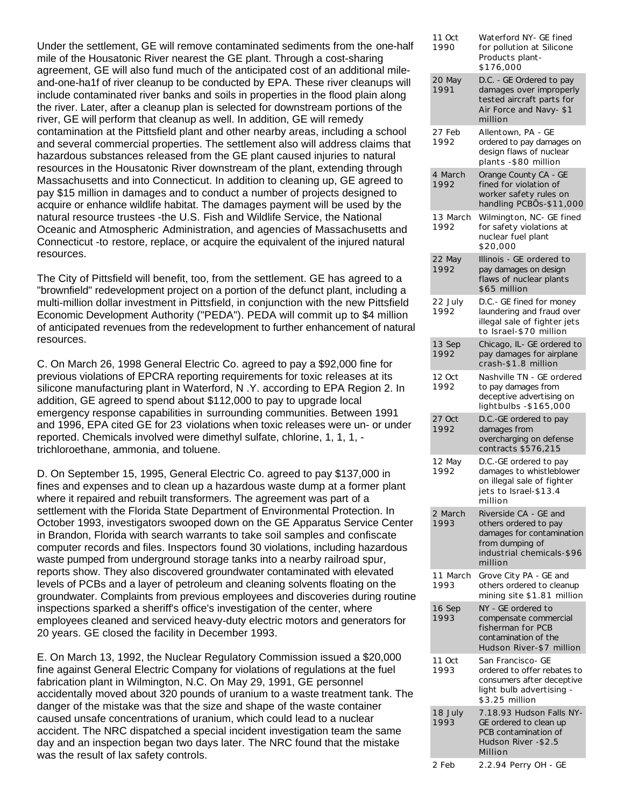Under the settlement, GE will remove contaminated sediments from the one-half mile of the Housatonic River nearest the GE plant. Through a cost-sharing agreement, GE will also fund much of the anticipated cost of an additional mileand-one-ha1f of river cleanup to be conducted by EPA. These river cleanups will include contaminated river banks and soils in properties in the flood plain along the river. Later, after a cleanup plan is selected for downstream portions of the river, GE will perform that cleanup as well. In addition, GE will remedy contamination at the Pittsfield plant and other nearby areas, including a school and several commercial properties. The settlement also will address claims that hazardous substances released from the GE plant caused injuries to natural resources in the Housatonic River downstream of the plant, extending through Massachusetts and into Connecticut. In addition to cleaning up, GE agreed to pay \$15 million in damages and to conduct a number of projects designed to acquire or enhance wildlife habitat. The damages payment will be used by the natural resource trustees -the U.S. Fish and Wildlife Service, the National Oceanic and Atmospheric Administration, and agencies of Massachusetts and Connecticut -to restore, replace, or acquire the equivalent of the injured natural resources.

The City of Pittsfield will benefit, too, from the settlement. GE has agreed to a "brownfield" redevelopment project on a portion of the defunct plant, including a multi-million dollar investment in Pittsfield, in conjunction with the new Pittsfield Economic Development Authority ("PEDA"). PEDA will commit up to \$4 million of anticipated revenues from the redevelopment to further enhancement of natural resources.

C. On March 26, 1998 General Electric Co. agreed to pay a \$92,000 fine for previous violations of EPCRA reporting requirements for toxic releases at its silicone manufacturing plant in Waterford, N .Y. according to EPA Region 2. In addition, GE agreed to spend about \$112,000 to pay to upgrade local emergency response capabilities in surrounding communities. Between 1991 and 1996, EPA cited GE for 23 violations when toxic releases were un- or under reported. Chemicals involved were dimethyl sulfate, chlorine, 1, 1, 1, trichloroethane, ammonia, and toluene.

D. On September 15, 1995, General Electric Co. agreed to pay \$137,000 in fines and expenses and to clean up a hazardous waste dump at a former plant where it repaired and rebuilt transformers. The agreement was part of a settlement with the Florida State Department of Environmental Protection. In October 1993, investigators swooped down on the GE Apparatus Service Center in Brandon, Florida with search warrants to take soil samples and confiscate computer records and files. Inspectors found 30 violations, including hazardous waste pumped from underground storage tanks into a nearby railroad spur, reports show. They also discovered groundwater contaminated with elevated levels of PCBs and a layer of petroleum and cleaning solvents floating on the groundwater. Complaints from previous employees and discoveries during routine inspections sparked a sheriff's office's investigation of the center, where employees cleaned and serviced heavy-duty electric motors and generators for 20 years. GE closed the facility in December 1993.

E. On March 13, 1992, the Nuclear Regulatory Commission issued a \$20,000 fine against General Electric Company for violations of regulations at the fuel fabrication plant in Wilmington, N.C. On May 29, 1991, GE personnel accidentally moved about 320 pounds of uranium to a waste treatment tank. The danger of the mistake was that the size and shape of the waste container caused unsafe concentrations of uranium, which could lead to a nuclear accident. The NRC dispatched a special incident investigation team the same day and an inspection began two days later. The NRC found that the mistake was the result of lax safety controls.

| 11 Oct<br>1990   | Waterford NY- GE fined<br>for pollution at Silicone<br>Products plant-<br>\$176,000                                                    |
|------------------|----------------------------------------------------------------------------------------------------------------------------------------|
| 20 May<br>1991   | D.C. - GE Ordered to pay<br>damages over improperly<br>tested aircraft parts for<br>Air Force and Navy-\$1<br>million                  |
| 27 Feb<br>1992   | Allentown, PA - GE<br>ordered to pay damages on<br>design flaws of nuclear<br>plants - \$80 million                                    |
| 4 March<br>1992  | Orange County CA - GE<br>fined for violation of<br>worker safety rules on<br>handling PCBOS-\$11,000                                   |
| 13 March<br>1992 | Wilmington, NC- GE fined<br>for safety violations at<br>nuclear fuel plant<br>\$20,000                                                 |
| 22 May<br>1992   | Illinois - GE ordered to<br>pay damages on design<br>flaws of nuclear plants<br>\$65 million                                           |
| 22 July<br>1992  | D.C.- GE fined for money<br>laundering and fraud over<br>illegal sale of fighter jets<br>to Israel-\$70 million                        |
| 13 Sep<br>1992   | Chicago, IL- GE ordered to<br>pay damages for airplane<br>crash-\$1.8 million                                                          |
| 12 Oct<br>1992   | Nashville TN - GE ordered<br>to pay damages from<br>deceptive advertising on<br>lightbulbs - \$165,000                                 |
| 27 Oct<br>1992   | D.C.-GE ordered to pay<br>damages from<br>overcharging on defense<br>contracts \$576,215                                               |
| 12 May<br>1992   | D.C.-GE ordered to pay<br>damages to whistleblower<br>on illegal sale of fighter<br>jets to Israel-\$13.4<br>million                   |
| 2 March<br>1993  | Riverside CA - GE and<br>others ordered to pay<br>damages for contamination<br>from dumping of<br>industrial chemicals-\$96<br>million |
| 11 March<br>1993 | Grove City PA - GE and<br>others ordered to cleanup<br>mining site \$1.81 million                                                      |
| 16 Sep<br>1993   | NY - GE ordered to<br>compensate commercial<br>fisherman for PCB<br>contamination of the<br>Hudson River-\$7 million                   |
| 11 Oct<br>1993   | San Francisco- GE<br>ordered to offer rebates to<br>consumers after deceptive<br>light bulb advertising -<br>\$3.25 million            |
| 18 July<br>1993  | 7.18.93 Hudson Falls NY-<br>GE ordered to clean up<br>PCB contamination of<br>Hudson River - \$2.5<br>Million                          |
| 2 Feb            | 2.2.94 Perry OH - GE                                                                                                                   |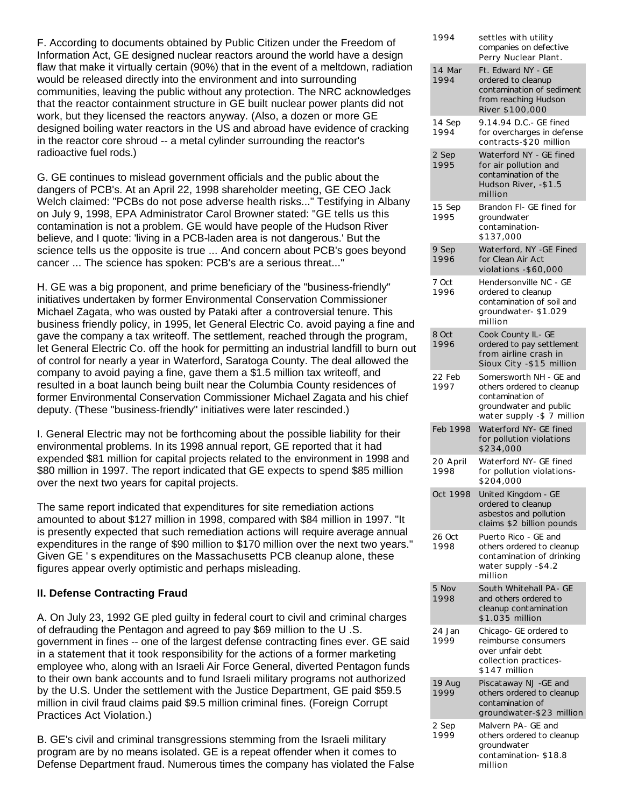F. According to documents obtained by Public Citizen under the Freedom of Information Act, GE designed nuclear reactors around the world have a design flaw that make it virtually certain (90%) that in the event of a meltdown, radiation would be released directly into the environment and into surrounding communities, leaving the public without any protection. The NRC acknowledges that the reactor containment structure in GE built nuclear power plants did not work, but they licensed the reactors anyway. (Also, a dozen or more GE designed boiling water reactors in the US and abroad have evidence of cracking in the reactor core shroud -- a metal cylinder surrounding the reactor's radioactive fuel rods.)

G. GE continues to mislead government officials and the public about the dangers of PCB's. At an April 22, 1998 shareholder meeting, GE CEO Jack Welch claimed: "PCBs do not pose adverse health risks..." Testifying in Albany on July 9, 1998, EPA Administrator Carol Browner stated: "GE tells us this contamination is not a problem. GE would have people of the Hudson River believe, and I quote: 'living in a PCB-laden area is not dangerous.' But the science tells us the opposite is true ... And concern about PCB's goes beyond cancer ... The science has spoken: PCB's are a serious threat..."

H. GE was a big proponent, and prime beneficiary of the "business-friendly" initiatives undertaken by former Environmental Conservation Commissioner Michael Zagata, who was ousted by Pataki after a controversial tenure. This business friendly policy, in 1995, let General Electric Co. avoid paying a fine and gave the company a tax writeoff. The settlement, reached through the program, let General Electric Co. off the hook for permitting an industrial landfill to burn out of control for nearly a year in Waterford, Saratoga County. The deal allowed the company to avoid paying a fine, gave them a \$1.5 million tax writeoff, and resulted in a boat launch being built near the Columbia County residences of former Environmental Conservation Commissioner Michael Zagata and his chief deputy. (These "business-friendly" initiatives were later rescinded.)

I. General Electric may not be forthcoming about the possible liability for their environmental problems. In its 1998 annual report, GE reported that it had expended \$81 million for capital projects related to the environment in 1998 and \$80 million in 1997. The report indicated that GE expects to spend \$85 million over the next two years for capital projects.

The same report indicated that expenditures for site remediation actions amounted to about \$127 million in 1998, compared with \$84 million in 1997. "It is presently expected that such remediation actions will require average annual expenditures in the range of \$90 million to \$170 million over the next two years." Given GE ' s expenditures on the Massachusetts PCB cleanup alone, these figures appear overly optimistic and perhaps misleading.

## **II. Defense Contracting Fraud**

A. On July 23, 1992 GE pled guilty in federal court to civil and criminal charges of defrauding the Pentagon and agreed to pay \$69 million to the U .S. government in fines -- one of the largest defense contracting fines ever. GE said in a statement that it took responsibility for the actions of a former marketing employee who, along with an Israeli Air Force General, diverted Pentagon funds to their own bank accounts and to fund Israeli military programs not authorized by the U.S. Under the settlement with the Justice Department, GE paid \$59.5 million in civil fraud claims paid \$9.5 million criminal fines. (Foreign Corrupt Practices Act Violation.)

B. GE's civil and criminal transgressions stemming from the Israeli military program are by no means isolated. GE is a repeat offender when it comes to Defense Department fraud. Numerous times the company has violated the False

| 1994             | settles with utility<br>companies on defective<br>Perry Nuclear Plant.                                                           |
|------------------|----------------------------------------------------------------------------------------------------------------------------------|
| 14 Mar<br>1994   | Ft. Edward NY - GE<br>ordered to cleanup<br>contamination of sediment<br>from reaching Hudson<br>River \$100,000                 |
| 14 Sep<br>1994   | 9.14.94 D.C.- GE fined<br>for overcharges in defense<br>contracts-\$20 million                                                   |
| 2 Sep<br>1995    | Waterford NY - GE fined<br>for air pollution and<br>contamination of the<br>Hudson River, -\$1.5<br>million                      |
| 15 Sep<br>1995   | Brandon FI- GE fined for<br>groundwater<br>contamination-<br>\$137,000                                                           |
| 9 Sep<br>1996    | Waterford, NY -GE Fined<br>for Clean Air Act<br>violations - \$60,000                                                            |
| 7 Oct<br>1996    | Hendersonville NC - GE<br>ordered to cleanup<br>contamination of soil and<br>groundwater-\$1.029<br>million                      |
| 8 Oct<br>1996    | Cook County IL- GE<br>ordered to pay settlement<br>from airline crash in<br>Sioux City - \$15 million                            |
| 22 Feb<br>1997   | Somersworth NH - GE and<br>others ordered to cleanup<br>contamination of<br>groundwater and public<br>water supply -\$ 7 million |
| Feb 1998         | Waterford NY- GE fined<br>for pollution violations<br>\$234,000                                                                  |
| 20 April<br>1998 | Waterford NY- GE fined<br>for pollution violations-<br>\$204,000                                                                 |
| Oct 1998         | United Kingdom - GE<br>ordered to cleanup<br>asbestos and pollution<br>claims \$2 billion pounds                                 |
| 26 Oct<br>1998   | Puerto Rico - GE and<br>others ordered to cleanup<br>contamination of drinking<br>water supply -\$4.2<br>million                 |
| 5 Nov<br>1998    | South Whitehall PA- GE<br>and others ordered to<br>cleanup contamination<br>\$1.035 million                                      |
| 24 Jan<br>1999   | Chicago- GE ordered to<br>reimburse consumers<br>over unfair debt<br>collection practices-<br>\$147 million                      |
| 19 Aug<br>1999   | Piscataway NJ - GE and<br>others ordered to cleanup<br>contamination of                                                          |
|                  | groundwater-\$23 million                                                                                                         |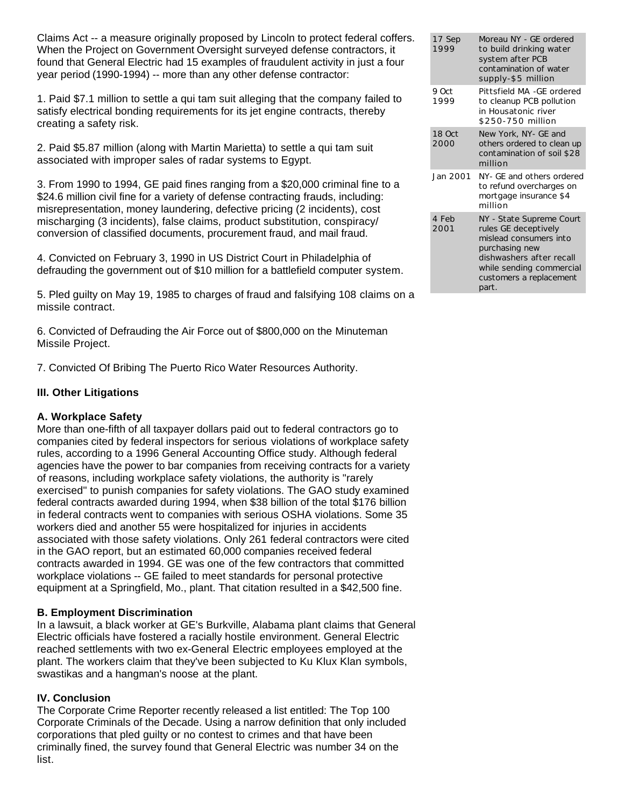Claims Act -- a measure originally proposed by Lincoln to protect federal coffers. When the Project on Government Oversight surveyed defense contractors, it found that General Electric had 15 examples of fraudulent activity in just a four year period (1990-1994) -- more than any other defense contractor:

1. Paid \$7.1 million to settle a qui tam suit alleging that the company failed to satisfy electrical bonding requirements for its jet engine contracts, thereby creating a safety risk.

2. Paid \$5.87 million (along with Martin Marietta) to settle a qui tam suit associated with improper sales of radar systems to Egypt.

3. From 1990 to 1994, GE paid fines ranging from a \$20,000 criminal fine to a \$24.6 million civil fine for a variety of defense contracting frauds, including: misrepresentation, money laundering, defective pricing (2 incidents), cost mischarging (3 incidents), false claims, product substitution, conspiracy/ conversion of classified documents, procurement fraud, and mail fraud.

4. Convicted on February 3, 1990 in US District Court in Philadelphia of defrauding the government out of \$10 million for a battlefield computer system.

5. Pled guilty on May 19, 1985 to charges of fraud and falsifying 108 claims on a missile contract.

6. Convicted of Defrauding the Air Force out of \$800,000 on the Minuteman Missile Project.

7. Convicted Of Bribing The Puerto Rico Water Resources Authority.

# **III. Other Litigations**

## **A. Workplace Safety**

More than one-fifth of all taxpayer dollars paid out to federal contractors go to companies cited by federal inspectors for serious violations of workplace safety rules, according to a 1996 General Accounting Office study. Although federal agencies have the power to bar companies from receiving contracts for a variety of reasons, including workplace safety violations, the authority is "rarely exercised" to punish companies for safety violations. The GAO study examined federal contracts awarded during 1994, when \$38 billion of the total \$176 billion in federal contracts went to companies with serious OSHA violations. Some 35 workers died and another 55 were hospitalized for injuries in accidents associated with those safety violations. Only 261 federal contractors were cited in the GAO report, but an estimated 60,000 companies received federal contracts awarded in 1994. GE was one of the few contractors that committed workplace violations -- GE failed to meet standards for personal protective equipment at a Springfield, Mo., plant. That citation resulted in a \$42,500 fine.

## **B. Employment Discrimination**

In a lawsuit, a black worker at GE's Burkville, Alabama plant claims that General Electric officials have fostered a racially hostile environment. General Electric reached settlements with two ex-General Electric employees employed at the plant. The workers claim that they've been subjected to Ku Klux Klan symbols, swastikas and a hangman's noose at the plant.

## **IV. Conclusion**

The Corporate Crime Reporter recently released a list entitled: The Top 100 Corporate Criminals of the Decade. Using a narrow definition that only included corporations that pled guilty or no contest to crimes and that have been criminally fined, the survey found that General Electric was number 34 on the list.

| 17 Sep<br>1999 | Moreau NY - GF ordered<br>to build drinking water<br>system after PCB<br>contamination of water<br>supply-\$5 million                                                                    |
|----------------|------------------------------------------------------------------------------------------------------------------------------------------------------------------------------------------|
| 9 Oct<br>1999  | Pittsfield MA -GE ordered<br>to cleanup PCB pollution<br>in Housatonic river<br>\$250-750 million                                                                                        |
| 18 Oct<br>2000 | New York, NY- GE and<br>others ordered to clean up<br>contamination of soil \$28<br>million                                                                                              |
| Jan 2001       | NY- GE and others ordered<br>to refund overcharges on<br>mortgage insurance \$4<br>million                                                                                               |
| 4 Feb<br>2001  | NY - State Supreme Court<br>rules GE deceptively<br>mislead consumers into<br>purchasing new<br>dishwashers after recall<br>while sending commercial<br>customers a replacement<br>part. |